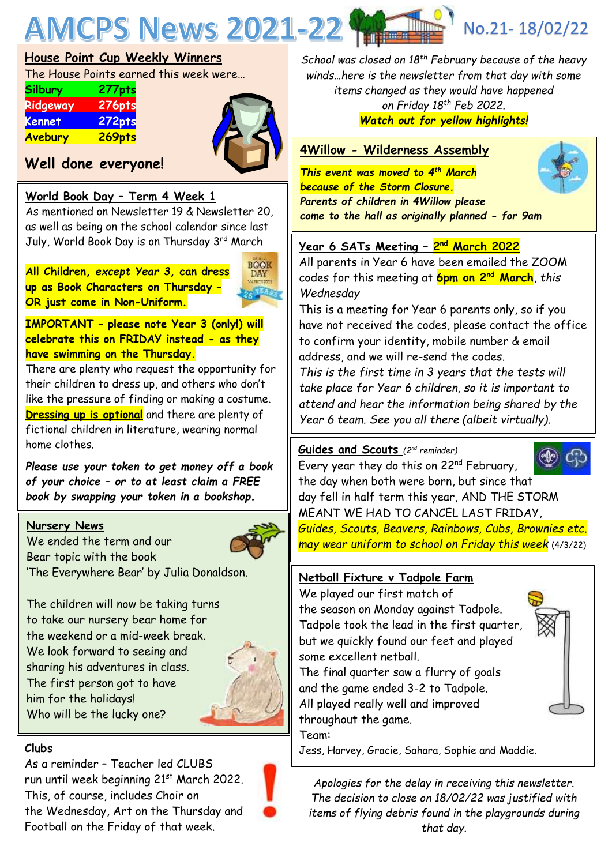

# **House Point Cup Weekly Winners**

The House Points earned this week were…

| Silbury        | 277pts        |
|----------------|---------------|
| Ridgeway       | <b>276pts</b> |
| Kennet         | 272pts        |
| <b>Avebury</b> | 269pts        |



# **Well done everyone!**

# **World Book Day – Term 4 Week 1**

As mentioned on Newsletter 19 & Newsletter 20, as well as being on the school calendar since last July, World Book Day is on Thursday 3rd March

**All Children,** *except Year 3***, can dress up as Book Characters on Thursday – OR just come in Non-Uniform.**



**IMPORTANT – please note Year 3 (only!) will celebrate this on FRIDAY instead - as they have swimming on the Thursday.**

There are plenty who request the opportunity for their children to dress up, and others who don't like the pressure of finding or making a costume. **Dressing up is optional** and there are plenty of fictional children in literature, wearing normal home clothes.

*Please use your token to get money off a book of your choice – or to at least claim a FREE book by swapping your token in a bookshop.*

#### **Nursery News**

We ended the term and our Bear topic with the book 'The Everywhere Bear' by Julia Donaldson.



The children will now be taking turns to take our nursery bear home for the weekend or a mid-week break. We look forward to seeing and sharing his adventures in class. The first person got to have him for the holidays! Who will be the lucky one?



# **Clubs**

As a reminder – Teacher led CLUBS run until week beginning 21<sup>st</sup> March 2022. This, of course, includes Choir on the Wednesday, Art on the Thursday and Football on the Friday of that week.



*School was closed on 18th February because of the heavy winds…here is the newsletter from that day with some items changed as they would have happened on Friday 18th Feb 2022. Watch out for yellow highlights!*

# **4Willow - Wilderness Assembly**

*This event was moved to 4th March because of the Storm Closure. Parents of children in 4Willow please come to the hall as originally planned - for 9am*

# **Year 6 SATs Meeting – 2 nd March 2022**

All parents in Year 6 have been emailed the ZOOM codes for this meeting at **6pm on 2nd March**, *this Wednesday*

This is a meeting for Year 6 parents only, so if you have not received the codes, please contact the office to confirm your identity, mobile number & email address, and we will re-send the codes.

*This is the first time in 3 years that the tests will take place for Year 6 children, so it is important to attend and hear the information being shared by the Year 6 team. See you all there (albeit virtually).*

#### **Guides and Scouts** *(2nd reminder)*



Every year they do this on 22nd February, the day when both were born, but since that day fell in half term this year, AND THE STORM MEANT WE HAD TO CANCEL LAST FRIDAY, *Guides, Scouts, Beavers, Rainbows, Cubs, Brownies etc. may wear uniform to school on Friday this week* (4/3/22)

# **Netball Fixture v Tadpole Farm**

We played our first match of the season on Monday against Tadpole. Tadpole took the lead in the first quarter, but we quickly found our feet and played some excellent netball.

The final quarter saw a flurry of goals and the game ended 3-2 to Tadpole. All played really well and improved throughout the game. Team:

Jess, Harvey, Gracie, Sahara, Sophie and Maddie.

*Apologies for the delay in receiving this newsletter. The decision to close on 18/02/22 was justified with items of flying debris found in the playgrounds during that day.*

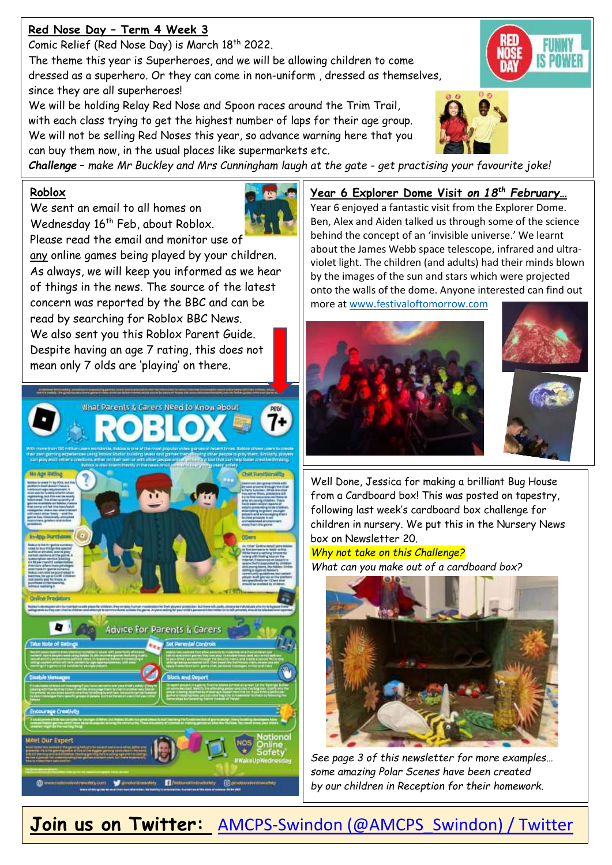# **Red Nose Day – Term 4 Week 3**

Comic Relief (Red Nose Day) is March 18<sup>th</sup> 2022.

The theme this year is Superheroes, and we will be allowing children to come dressed as a superhero. Or they can come in non-uniform , dressed as themselves, since they are all superheroes!

We will be holding Relay Red Nose and Spoon races around the Trim Trail, with each class trying to get the highest number of laps for their age group. We will not be selling Red Noses this year, so advance warning here that you can buy them now, in the usual places like supermarkets etc.



*Challenge* – *make Mr Buckley and Mrs Cunningham laugh at the gate - get practising your favourite joke!*

#### **Roblox**

We sent an email to all homes on Wednesday 16<sup>th</sup> Feb, about Roblox. Please read the email and monitor use of any online games being played by your children. As always, we will keep you informed as we hear of things in the news. The source of the latest concern was reported by the BBC and can be

read by searching for Roblox BBC News. We also sent you this Roblox Parent Guide. Despite having an age 7 rating, this does not mean only 7 olds are 'playing' on there.



# **Year 6 Explorer Dome Visit** *on 18th February…*

Year 6 enjoyed a fantastic visit from the Explorer Dome. Ben, Alex and Aiden talked us through some of the science behind the concept of an 'invisible universe.' We learnt about the James Webb space telescope, infrared and ultraviolet light. The children (and adults) had their minds blown by the images of the sun and stars which were projected onto the walls of the dome. Anyone interested can find out more at [www.festivaloftomorrow.com](http://www.festivaloftomorrow.com/)



Well Done, Jessica for making a brilliant Bug House from a Cardboard box! This was posted on tapestry, following last week's cardboard box challenge for children in nursery. We put this in the Nursery News box on Newsletter 20.

#### *Why not take on this Challenge?*

*What can you make out of a cardboard box?*



*See page 3 of this newsletter for more examples… some amazing Polar Scenes have been created by our children in Reception for their homework.*

**Join us on Twitter:** [AMCPS-Swindon \(@AMCPS\\_Swindon\) / Twitter](https://mobile.twitter.com/AMCPS_Swindon)